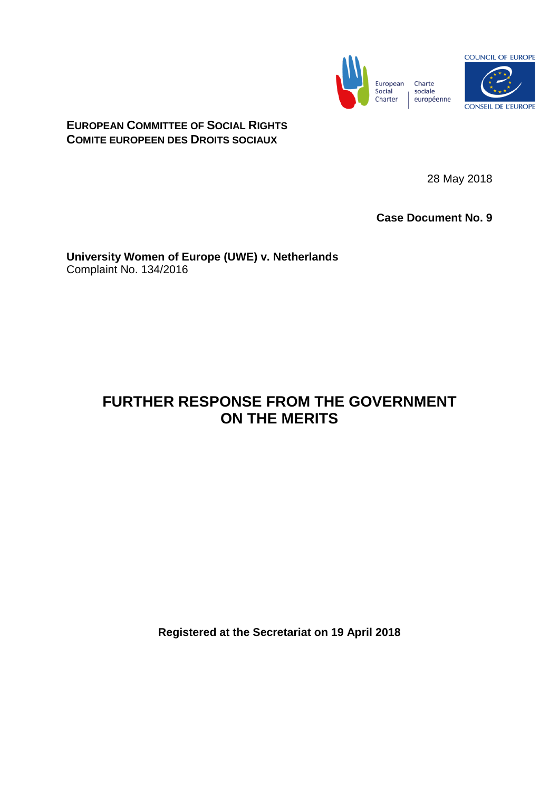

**EUROPEAN COMMITTEE OF SOCIAL RIGHTS COMITE EUROPEEN DES DROITS SOCIAUX**

28 May 2018

**Case Document No. 9**

**University Women of Europe (UWE) v. Netherlands** Complaint No. 134/2016

## **FURTHER RESPONSE FROM THE GOVERNMENT ON THE MERITS**

**Registered at the Secretariat on 19 April 2018**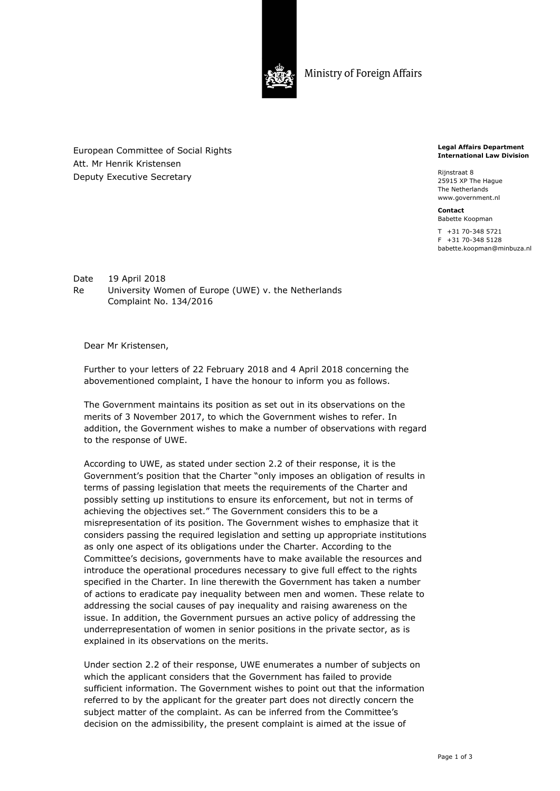

Ministry of Foreign Affairs

European Committee of Social Rights Att. Mr Henrik Kristensen Deputy Executive Secretary

**Legal Affairs Department International Law Division** 

Rijnstraat 8 25915 XP The Hague The Netherlands www.government.nl

**Contact**  Babette Koopman

T +31 70-348 5721 F +31 70-348 5128 babette.koopman@minbuza.nl

Date 19 April 2018 Re University Women of Europe (UWE) v. the Netherlands Complaint No. 134/2016

Dear Mr Kristensen,

Further to your letters of 22 February 2018 and 4 April 2018 concerning the abovementioned complaint, I have the honour to inform you as follows.

The Government maintains its position as set out in its observations on the merits of 3 November 2017, to which the Government wishes to refer. In addition, the Government wishes to make a number of observations with regard to the response of UWE.

According to UWE, as stated under section 2.2 of their response, it is the Government's position that the Charter "only imposes an obligation of results in terms of passing legislation that meets the requirements of the Charter and possibly setting up institutions to ensure its enforcement, but not in terms of achieving the objectives set." The Government considers this to be a misrepresentation of its position. The Government wishes to emphasize that it considers passing the required legislation and setting up appropriate institutions as only one aspect of its obligations under the Charter. According to the Committee's decisions, governments have to make available the resources and introduce the operational procedures necessary to give full effect to the rights specified in the Charter. In line therewith the Government has taken a number of actions to eradicate pay inequality between men and women. These relate to addressing the social causes of pay inequality and raising awareness on the issue. In addition, the Government pursues an active policy of addressing the underrepresentation of women in senior positions in the private sector, as is explained in its observations on the merits.

Under section 2.2 of their response, UWE enumerates a number of subjects on which the applicant considers that the Government has failed to provide sufficient information. The Government wishes to point out that the information referred to by the applicant for the greater part does not directly concern the subject matter of the complaint. As can be inferred from the Committee's decision on the admissibility, the present complaint is aimed at the issue of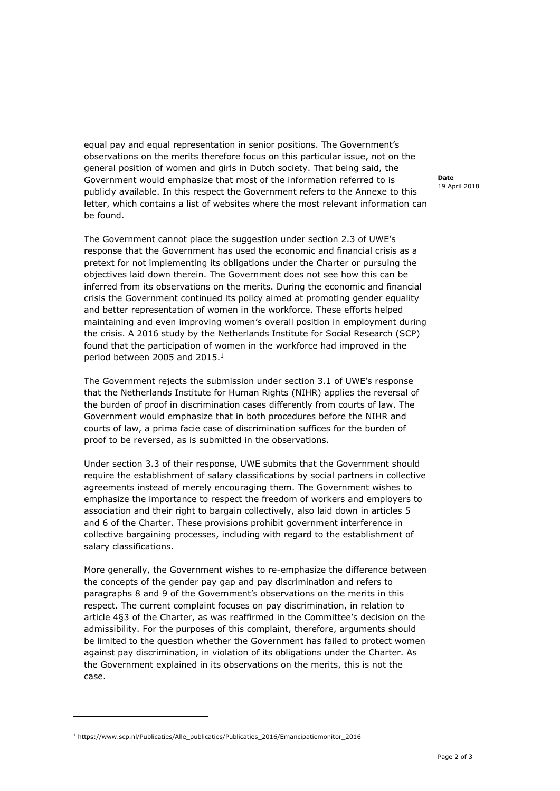equal pay and equal representation in senior positions. The Government's observations on the merits therefore focus on this particular issue, not on the general position of women and girls in Dutch society. That being said, the Government would emphasize that most of the information referred to is publicly available. In this respect the Government refers to the Annexe to this letter, which contains a list of websites where the most relevant information can be found.

The Government cannot place the suggestion under section 2.3 of UWE's response that the Government has used the economic and financial crisis as a pretext for not implementing its obligations under the Charter or pursuing the objectives laid down therein. The Government does not see how this can be inferred from its observations on the merits. During the economic and financial crisis the Government continued its policy aimed at promoting gender equality and better representation of women in the workforce. These efforts helped maintaining and even improving women's overall position in employment during the crisis. A 2016 study by the Netherlands Institute for Social Research (SCP) found that the participation of women in the workforce had improved in the period between 2005 and 2015.1

The Government rejects the submission under section 3.1 of UWE's response that the Netherlands Institute for Human Rights (NIHR) applies the reversal of the burden of proof in discrimination cases differently from courts of law. The Government would emphasize that in both procedures before the NIHR and courts of law, a prima facie case of discrimination suffices for the burden of proof to be reversed, as is submitted in the observations.

Under section 3.3 of their response, UWE submits that the Government should require the establishment of salary classifications by social partners in collective agreements instead of merely encouraging them. The Government wishes to emphasize the importance to respect the freedom of workers and employers to association and their right to bargain collectively, also laid down in articles 5 and 6 of the Charter. These provisions prohibit government interference in collective bargaining processes, including with regard to the establishment of salary classifications.

More generally, the Government wishes to re-emphasize the difference between the concepts of the gender pay gap and pay discrimination and refers to paragraphs 8 and 9 of the Government's observations on the merits in this respect. The current complaint focuses on pay discrimination, in relation to article 4§3 of the Charter, as was reaffirmed in the Committee's decision on the admissibility. For the purposes of this complaint, therefore, arguments should be limited to the question whether the Government has failed to protect women against pay discrimination, in violation of its obligations under the Charter. As the Government explained in its observations on the merits, this is not the case.

1 https://www.scp.nl/Publicaties/Alle\_publicaties/Publicaties\_2016/Emancipatiemonitor\_2016

-

**Date**  19 April 2018